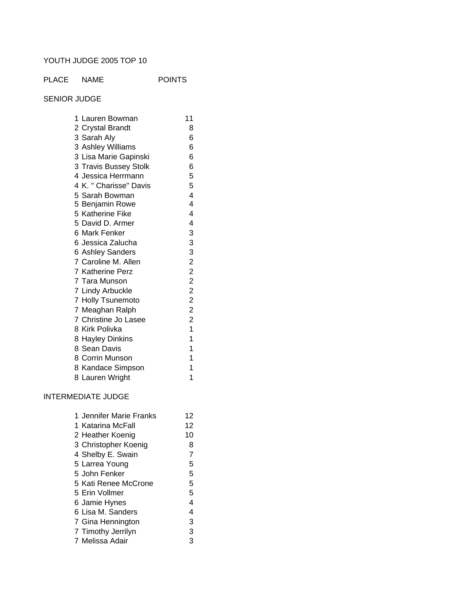### YOUTH JUDGE 2005 TOP 10

# PLACE NAME POINTS

#### SENIOR JUDGE

| 1 Lauren Bowman        | 11                                         |
|------------------------|--------------------------------------------|
| 2 Crystal Brandt       | 8                                          |
| 3 Sarah Aly            | 6                                          |
| 3 Ashley Williams      | 6                                          |
| 3 Lisa Marie Gapinski  | 6                                          |
| 3 Travis Bussey Stolk  | 6                                          |
| 4 Jessica Herrmann     | 5                                          |
| 4 K. " Charisse" Davis | 5                                          |
| 5 Sarah Bowman         | $\overline{4}$                             |
| 5 Benjamin Rowe        | 4                                          |
| 5 Katherine Fike       | $\overline{\mathbf{4}}$                    |
| 5 David D. Armer       | 4                                          |
| 6 Mark Fenker          | 3                                          |
| 6 Jessica Zalucha      | $\begin{array}{c} 3 \\ 3 \\ 2 \end{array}$ |
| 6 Ashley Sanders       |                                            |
| 7 Caroline M. Allen    |                                            |
| 7 Katherine Perz       | $\frac{2}{2}$                              |
| 7 Tara Munson          |                                            |
| 7 Lindy Arbuckle       | $\overline{c}$                             |
| 7 Holly Tsunemoto      | $\frac{2}{2}$                              |
| 7 Meaghan Ralph        |                                            |
| 7 Christine Jo Lasee   | $\overline{2}$                             |
| 8 Kirk Polivka         | $\mathbf 1$                                |
| 8 Hayley Dinkins       | $\mathbf{1}$                               |
| 8 Sean Davis           | 1                                          |
| 8 Corrin Munson        | $\mathbf{1}$                               |
| 8 Kandace Simpson      | 1                                          |
| 8 Lauren Wright        | 1                                          |

#### INTERMEDIATE JUDGE

| 1 Jennifer Marie Franks | 12 |
|-------------------------|----|
| 1. Katarina McFall      | 12 |
| 2 Heather Koenig        | 10 |
| 3 Christopher Koenig    | 8  |
| 4 Shelby E. Swain       | 7  |
| 5 Larrea Young          | 5  |
| 5 John Fenker           | 5  |
| 5 Kati Renee McCrone    | 5  |
| 5 Erin Vollmer          | 5  |
| 6 Jamie Hynes           | 4  |
| 6 Lisa M. Sanders       | 4  |
| 7 Gina Hennington       | 3  |
| 7 Timothy Jerrilyn      | 3  |
| 7 Melissa Adair         | 3  |